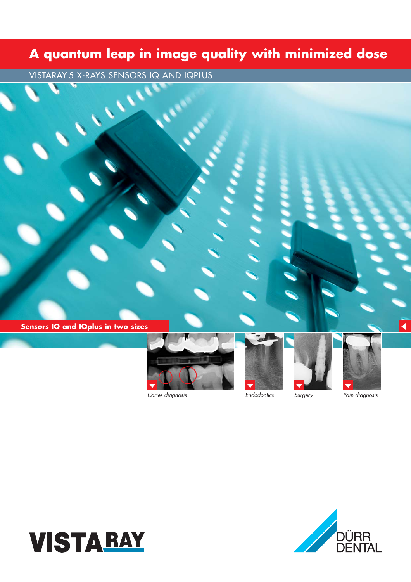## **A quantum leap in image quality with minimized dose**

a de la provincia de la provincia de la provincia de la provincia de la provincia de la provincia de la provincia de la provincia de la provincia de la provincia de la provincia de la provincia de la provincia de la provin

VISTARAY 5 X-RAYS SENSORS IQ AND IQPLUS

**Sensors IQ and IQplus in two sizes**



*Caries diagnosis*

and in the second





 $\blacktriangleleft$ 





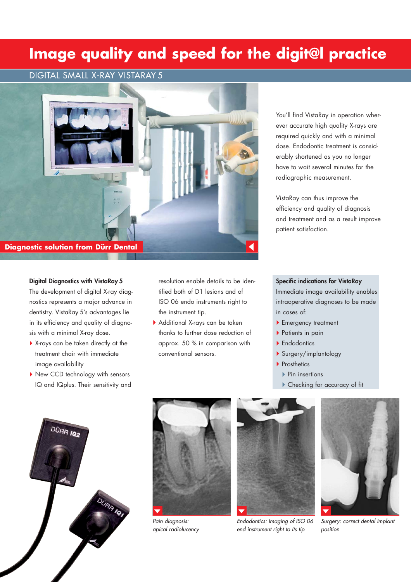## **Image quality and speed for the digit@l practice**

### DIGITAL SMALL X-RAY VISTARAY 5



#### **Digital Diagnostics with VistaRay 5**

The development of digital X-ray diagnostics represents a major advance in dentistry. VistaRay 5's advantages lie in its efficiency and quality of diagnosis with a minimal X-ray dose.

- X-rays can be taken directly at the treatment chair with immediate image availability
- New CCD technology with sensors IQ and IQplus. Their sensitivity and

resolution enable details to be identified both of D1 lesions and of ISO 06 endo instruments right to the instrument tip.

Additional X-rays can be taken thanks to further dose reduction of approx. 50 % in comparison with conventional sensors.

You'll find VistaRay in operation wherever accurate high quality X-rays are required quickly and with a minimal dose. Endodontic treatment is considerably shortened as you no longer have to wait several minutes for the radiographic measurement.

VistaRay can thus improve the efficiency and quality of diagnosis and treatment and as a result improve patient satisfaction.

### **Specific indications for VistaRay**

Immediate image availability enables intraoperative diagnoses to be made in cases of:

- ▶ Emergency treatment
- ▶ Patients in pain
- ▶ Endodontics
- Surgery/implantology
- ▶ Prosthetics
	- ▶ Pin insertions
	- Checking for accuracy of fit





*Pain diagnosis: apical radiolucency* 



*Endodontics: Imaging of ISO 06 end instrument right to its tip*



*Surgery: correct dental Implant position*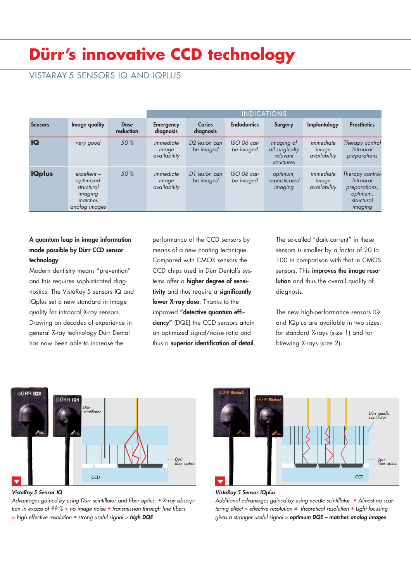# **Dürr's innovative CCD technology**

### VISTARAY 5 SENSORS IQ AND IQPLUS

|                |                                                                                 |                          | <b>INDICATIONS</b>                 |                                        |                         |                                                        |                                    |                                                                                     |
|----------------|---------------------------------------------------------------------------------|--------------------------|------------------------------------|----------------------------------------|-------------------------|--------------------------------------------------------|------------------------------------|-------------------------------------------------------------------------------------|
| <b>Sensors</b> | Image quality                                                                   | <b>Dose</b><br>reduction | <b>Emergency</b><br>diagnosis      | <b>Caries</b><br>diagnosis             | <b>Endodontics</b>      | Surgery                                                | Implantology                       | <b>Prosthetics</b>                                                                  |
| <b>IQ</b>      | very good                                                                       | 50%                      | immediate<br>image<br>availability | D <sub>2</sub> lesion can<br>be imaged | ISO 06 can<br>be imaged | Imaging of<br>all surgically<br>relevant<br>structures | immediate<br>image<br>availability | Therapy control<br><i>Intraoral</i><br>preparations                                 |
| <b>IQplus</b>  | $excellent -$<br>optimized<br>structural<br>imaging<br>matches<br>analog images | 50%                      | immediate<br>image<br>availability | D1 lesion can<br>be imaged             | ISO 06 can<br>be imaged | optimum,<br>sophisticated<br>imaging                   | immediate<br>image<br>availability | Therapy control-<br>Intraoral<br>preparations,<br>optimum,<br>structural<br>imaging |

### **A quantum leap in image information made possible by Dürr CCD sensor technology**

Modern dentistry means "prevention" and this requires sophisticated diagnostics. The VistaRay 5 sensors IQ and IQplus set a new standard in image quality for intraoral X-ray sensors. Drawing on decades of experience in general X-ray technology Dürr Dental has now been able to increase the

performance of the CCD sensors by means of a new coating technique. Compared with CMOS sensors the CCD chips used in Dürr Dental's systems offer a **higher degree of sensitivity** and thus require a **significantly lower X-ray dose**. Thanks to the improved **"detective quantum efficiency"** (DQE) the CCD sensors attain an optimized signal/noise ratio and thus a **superior identification of detail**. The so-called "dark current" in these sensors is smaller by a factor of 20 to 100 in comparison with that in CMOS sensors. This **improves the image resolution** and thus the overall quality of diagnosis.

The new high-performance sensors IQ and IQplus are available in two sizes: for standard X-rays (size 1) and for bitewing X-rays (size 2).



*VistaRay 5 Sensor IQ*

*Advantages gained by using Dürr scintillator and fiber optics: • X-ray absorption in excess of 99 % > no image noise • transmission through fine fibers > high effective resolution • strong useful signal > high DQE*



#### *VistaRay 5 Sensor IQplus*

*ê tering effect > effective resolution = theoretical resolution • Light-focusing Additional advantages gained by using needle scintillator: • Almost no scatgives a stronger useful signal > optimum DQE – matches analog images*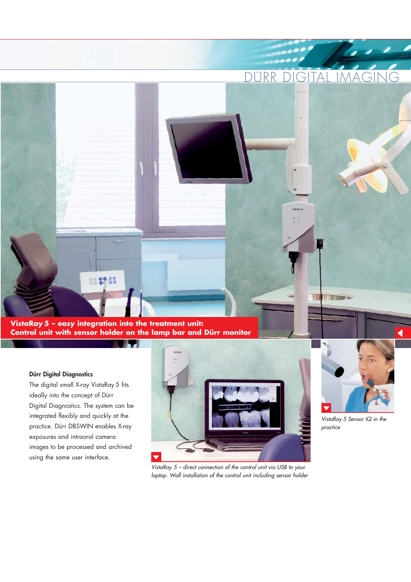DURR DIGITAL IMAGING

hore

**VistaRay 5 – easy integration into the treatment unit: Control unit with sensor holder on the lamp bar and Dürr monitor**

888788

#### **Dürr Digital Diagnostics**

The digital small X-ray VistaRay 5 fits ideally into the concept of Dürr Digital Diagnostics. The system can be integrated flexibly and quickly at the practice. Dürr DBSWIN enables X-ray exposures and intraoral camera images to be processed and archived using the same user interface.



*VistaRay 5 – direct connection of the control unit via USB to your laptop. Wall installation of the control unit including sensor holder*



**The Company** 

*VistaRay 5 Sensor IQ in the practice*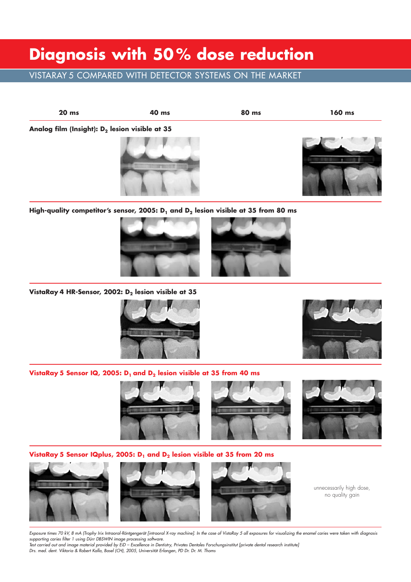## **Diagnosis with 50 % dose reduction**

### VISTARAY 5 COMPARED WITH DETECTOR SYSTEMS ON THE MARKET



High-quality competitor's sensor, 2005: D<sub>1</sub> and D<sub>2</sub> lesion visible at 35 from 80 ms



VistaRay 4 HR-Sensor, 2002: D<sub>2</sub> lesion visible at 35





**VistaRay 5 Sensor IQ, 2005: D<sub>1</sub> and D<sub>2</sub> lesion visible at 35 from 40 ms** 



**VistaRay 5 Sensor IQplus, 2005: D<sub>1</sub> and D<sub>2</sub> lesion visible at 35 from 20 ms** 







unnecessarily high dose, no quality gain

*Exposure times 70 kV, 8 mA (Trophy Irix Intraoral-Röntgengerät [intraoral X-ray machine]. In the case of VistaRay 5 all exposures for visualizing the enamel caries were taken with diagnosis supporting caries filter 1 using Dürr DBSWIN image processing software.*

*Test carried out and image material provided by EiD – Excellence in Dentistry, Privates Dentales Forschungsinstitut [private dental research institute] Drs. med. dent. Viktoria & Robert Kalla, Basel (CH), 2005, Universität Erlangen, PD Dr. Dr. M. Thoms*